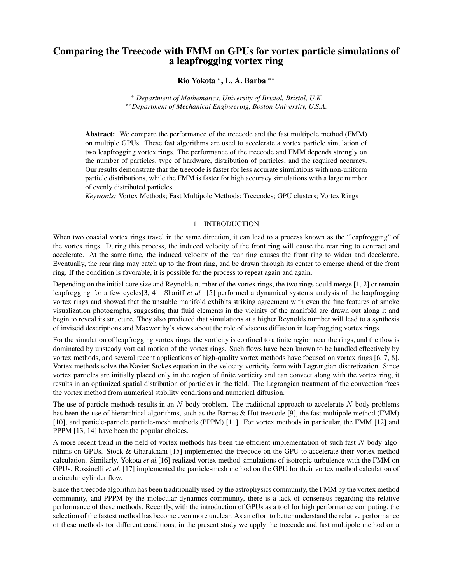# Comparing the Treecode with FMM on GPUs for vortex particle simulations of a leapfrogging vortex ring

Rio Yokota <sup>∗</sup> , L. A. Barba ∗∗

<sup>∗</sup> *Department of Mathematics, University of Bristol, Bristol, U.K.* ∗∗*Department of Mechanical Engineering, Boston University, U.S.A.*

Abstract: We compare the performance of the treecode and the fast multipole method (FMM) on multiple GPUs. These fast algorithms are used to accelerate a vortex particle simulation of two leapfrogging vortex rings. The performance of the treecode and FMM depends strongly on the number of particles, type of hardware, distribution of particles, and the required accuracy. Our results demonstrate that the treecode is faster for less accurate simulations with non-uniform particle distributions, while the FMM is faster for high accuracy simulations with a large number of evenly distributed particles.

*Keywords:* Vortex Methods; Fast Multipole Methods; Treecodes; GPU clusters; Vortex Rings

## 1 INTRODUCTION

When two coaxial vortex rings travel in the same direction, it can lead to a process known as the "leapfrogging" of the vortex rings. During this process, the induced velocity of the front ring will cause the rear ring to contract and accelerate. At the same time, the induced velocity of the rear ring causes the front ring to widen and decelerate. Eventually, the rear ring may catch up to the front ring, and be drawn through its center to emerge ahead of the front ring. If the condition is favorable, it is possible for the process to repeat again and again.

Depending on the initial core size and Reynolds number of the vortex rings, the two rings could merge [1, 2] or remain leapfrogging for a few cycles[3, 4]. Shariff *et al.* [5] performed a dynamical systems analysis of the leapfrogging vortex rings and showed that the unstable manifold exhibits striking agreement with even the fine features of smoke visualization photographs, suggesting that fluid elements in the vicinity of the manifold are drawn out along it and begin to reveal its structure. They also predicted that simulations at a higher Reynolds number will lead to a synthesis of inviscid descriptions and Maxworthy's views about the role of viscous diffusion in leapfrogging vortex rings.

For the simulation of leapfrogging vortex rings, the vorticity is confined to a finite region near the rings, and the flow is dominated by unsteady vortical motion of the vortex rings. Such flows have been known to be handled effectively by vortex methods, and several recent applications of high-quality vortex methods have focused on vortex rings [6, 7, 8]. Vortex methods solve the Navier-Stokes equation in the velocity-vorticity form with Lagrangian discretization. Since vortex particles are initially placed only in the region of finite vorticity and can convect along with the vortex ring, it results in an optimized spatial distribution of particles in the field. The Lagrangian treatment of the convection frees the vortex method from numerical stability conditions and numerical diffusion.

The use of particle methods results in an  $N$ -body problem. The traditional approach to accelerate  $N$ -body problems has been the use of hierarchical algorithms, such as the Barnes & Hut treecode [9], the fast multipole method (FMM) [10], and particle-particle particle-mesh methods (PPPM) [11]. For vortex methods in particular, the FMM [12] and PPPM [13, 14] have been the popular choices.

A more recent trend in the field of vortex methods has been the efficient implementation of such fast N-body algorithms on GPUs. Stock & Gharakhani [15] implemented the treecode on the GPU to accelerate their vortex method calculation. Similarly, Yokota *et al.*[16] realized vortex method simulations of isotropic turbulence with the FMM on GPUs. Rossinelli *et al.* [17] implemented the particle-mesh method on the GPU for their vortex method calculation of a circular cylinder flow.

Since the treecode algorithm has been traditionally used by the astrophysics community, the FMM by the vortex method community, and PPPM by the molecular dynamics community, there is a lack of consensus regarding the relative performance of these methods. Recently, with the introduction of GPUs as a tool for high performance computing, the selection of the fastest method has become even more unclear. As an effort to better understand the relative performance of these methods for different conditions, in the present study we apply the treecode and fast multipole method on a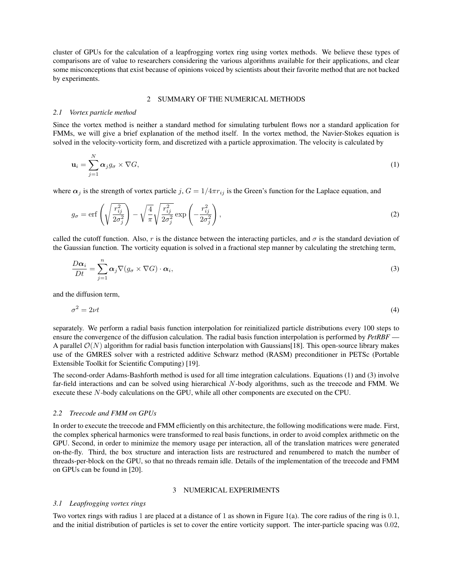cluster of GPUs for the calculation of a leapfrogging vortex ring using vortex methods. We believe these types of comparisons are of value to researchers considering the various algorithms available for their applications, and clear some misconceptions that exist because of opinions voiced by scientists about their favorite method that are not backed by experiments.

#### 2 SUMMARY OF THE NUMERICAL METHODS

#### *2.1 Vortex particle method*

Since the vortex method is neither a standard method for simulating turbulent flows nor a standard application for FMMs, we will give a brief explanation of the method itself. In the vortex method, the Navier-Stokes equation is solved in the velocity-vorticity form, and discretized with a particle approximation. The velocity is calculated by

$$
\mathbf{u}_i = \sum_{j=1}^N \alpha_j g_{\sigma} \times \nabla G, \tag{1}
$$

where  $\alpha_j$  is the strength of vortex particle j,  $G = 1/4\pi r_{ij}$  is the Green's function for the Laplace equation, and

$$
g_{\sigma} = \text{erf}\left(\sqrt{\frac{r_{ij}^2}{2\sigma_j^2}}\right) - \sqrt{\frac{4}{\pi}}\sqrt{\frac{r_{ij}^2}{2\sigma_j^2}}\exp\left(-\frac{r_{ij}^2}{2\sigma_j^2}\right),\tag{2}
$$

called the cutoff function. Also, r is the distance between the interacting particles, and  $\sigma$  is the standard deviation of the Gaussian function. The vorticity equation is solved in a fractional step manner by calculating the stretching term,

$$
\frac{D\alpha_i}{Dt} = \sum_{j=1}^n \alpha_j \nabla (g_\sigma \times \nabla G) \cdot \alpha_i,
$$
\n(3)

and the diffusion term,

$$
\sigma^2 = 2\nu t \tag{4}
$$

separately. We perform a radial basis function interpolation for reinitialized particle distributions every 100 steps to ensure the convergence of the diffusion calculation. The radial basis function interpolation is performed by *PetRBF* — A parallel  $\mathcal{O}(N)$  algorithm for radial basis function interpolation with Gaussians [18]. This open-source library makes use of the GMRES solver with a restricted additive Schwarz method (RASM) preconditioner in PETSc (Portable Extensible Toolkit for Scientific Computing) [19].

The second-order Adams-Bashforth method is used for all time integration calculations. Equations (1) and (3) involve far-field interactions and can be solved using hierarchical N-body algorithms, such as the treecode and FMM. We execute these N-body calculations on the GPU, while all other components are executed on the CPU.

## *2.2 Treecode and FMM on GPUs*

In order to execute the treecode and FMM efficiently on this architecture, the following modifications were made. First, the complex spherical harmonics were transformed to real basis functions, in order to avoid complex arithmetic on the GPU. Second, in order to minimize the memory usage per interaction, all of the translation matrices were generated on-the-fly. Third, the box structure and interaction lists are restructured and renumbered to match the number of threads-per-block on the GPU, so that no threads remain idle. Details of the implementation of the treecode and FMM on GPUs can be found in [20].

## 3 NUMERICAL EXPERIMENTS

## *3.1 Leapfrogging vortex rings*

Two vortex rings with radius 1 are placed at a distance of 1 as shown in Figure 1(a). The core radius of the ring is 0.1, and the initial distribution of particles is set to cover the entire vorticity support. The inter-particle spacing was 0.02,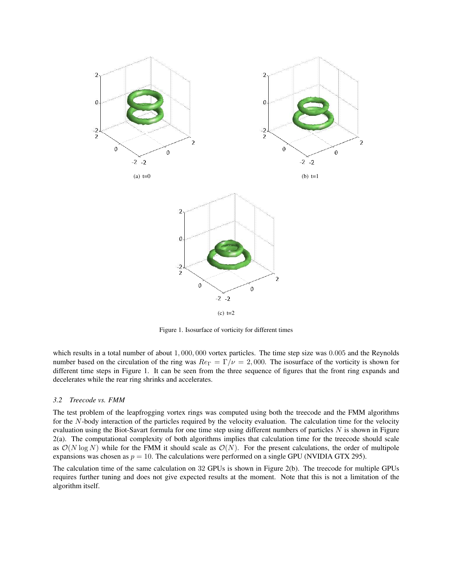

Figure 1. Isosurface of vorticity for different times

which results in a total number of about 1,000,000 vortex particles. The time step size was 0.005 and the Reynolds number based on the circulation of the ring was  $Re\Gamma = \Gamma/\nu = 2{,}000$ . The isosurface of the vorticity is shown for different time steps in Figure 1. It can be seen from the three sequence of figures that the front ring expands and decelerates while the rear ring shrinks and accelerates.

## *3.2 Treecode vs. FMM*

The test problem of the leapfrogging vortex rings was computed using both the treecode and the FMM algorithms for the N-body interaction of the particles required by the velocity evaluation. The calculation time for the velocity evaluation using the Biot-Savart formula for one time step using different numbers of particles  $N$  is shown in Figure 2(a). The computational complexity of both algorithms implies that calculation time for the treecode should scale as  $\mathcal{O}(N \log N)$  while for the FMM it should scale as  $\mathcal{O}(N)$ . For the present calculations, the order of multipole expansions was chosen as  $p = 10$ . The calculations were performed on a single GPU (NVIDIA GTX 295).

The calculation time of the same calculation on 32 GPUs is shown in Figure 2(b). The treecode for multiple GPUs requires further tuning and does not give expected results at the moment. Note that this is not a limitation of the algorithm itself.